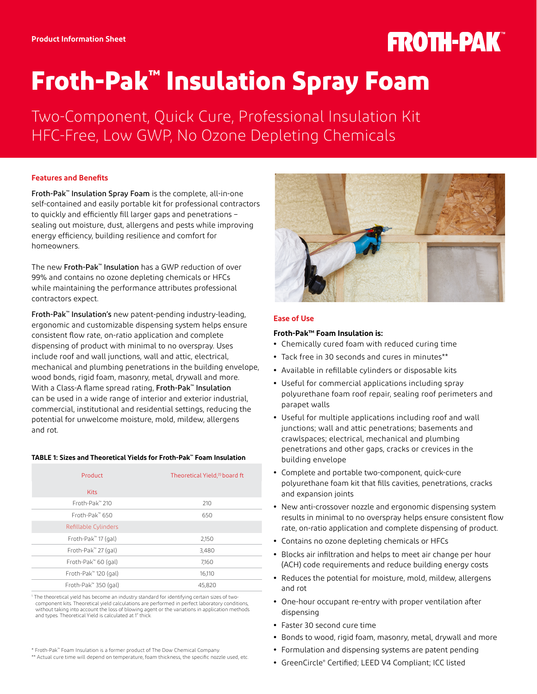# **FROTH-PAK**

## **Froth-Pak™ Insulation Spray Foam**

Two-Component, Quick Cure, Professional Insulation Kit HFC-Free, Low GWP, No Ozone Depleting Chemicals

## **Features and Benefits**

Froth-Pak™ Insulation Spray Foam is the complete, all-in-one self-contained and easily portable kit for professional contractors to quickly and efficiently fill larger gaps and penetrations – sealing out moisture, dust, allergens and pests while improving energy efficiency, building resilience and comfort for homeowners.

The new Froth-Pak™ Insulation has a GWP reduction of over 99% and contains no ozone depleting chemicals or HFCs while maintaining the performance attributes professional contractors expect.

Froth-Pak™ Insulation's new patent-pending industry-leading, ergonomic and customizable dispensing system helps ensure consistent flow rate, on-ratio application and complete dispensing of product with minimal to no overspray. Uses include roof and wall junctions, wall and attic, electrical, mechanical and plumbing penetrations in the building envelope, wood bonds, rigid foam, masonry, metal, drywall and more. With a Class-A flame spread rating, Froth-Pak™ Insulation can be used in a wide range of interior and exterior industrial, commercial, institutional and residential settings, reducing the potential for unwelcome moisture, mold, mildew, allergens and rot.

## **TABLE 1: Sizes and Theoretical Yields for Froth-Pak™ Foam Insulation**

| Product              | Theoretical Yield, <sup>(1)</sup> board ft |
|----------------------|--------------------------------------------|
| <b>Kits</b>          |                                            |
| Froth-Pak™ 210       | 210                                        |
| $Front-Pakm 650$     | 650                                        |
| Refillable Cylinders |                                            |
| Froth-Pak" 17 (gal)  | 2,150                                      |
| Froth-Pak™ 27 (gal)  | 3,480                                      |
| Froth-Pak™ 60 (gal)  | 7,160                                      |
| Froth-Pak" 120 (gal) | 16,110                                     |
| Froth-Pak" 350 (gal) | 45,820                                     |

The theoretical yield has become an industry standard for identifying certain sizes of two component kits. Theoretical yield calculations are performed in perfect laboratory conditions, without taking into account the loss of blowing agent or the variations in application methods and types. Theoretical Yield is calculated at 1" thick.

\*\* Actual cure time will depend on temperature, foam thickness, the specific nozzle used, etc.



## **Ease of Use**

## **Froth-Pak™ Foam Insulation is:**

- **•** Chemically cured foam with reduced curing time
- **•** Tack free in 30 seconds and cures in minutes\*\*
- **•** Available in refillable cylinders or disposable kits
- **•** Useful for commercial applications including spray polyurethane foam roof repair, sealing roof perimeters and parapet walls
- **•** Useful for multiple applications including roof and wall junctions; wall and attic penetrations; basements and crawlspaces; electrical, mechanical and plumbing penetrations and other gaps, cracks or crevices in the building envelope
- **•** Complete and portable two-component, quick-cure polyurethane foam kit that fills cavities, penetrations, cracks and expansion joints
- **•** New anti-crossover nozzle and ergonomic dispensing system results in minimal to no overspray helps ensure consistent flow rate, on-ratio application and complete dispensing of product.
- **•** Contains no ozone depleting chemicals or HFCs
- **•** Blocks air infiltration and helps to meet air change per hour (ACH) code requirements and reduce building energy costs
- **•** Reduces the potential for moisture, mold, mildew, allergens and rot
- **•** One-hour occupant re-entry with proper ventilation after dispensing
- **•** Faster 30 second cure time
- **•** Bonds to wood, rigid foam, masonry, metal, drywall and more
- **•** Formulation and dispensing systems are patent pending
- **•** GreenCircle® Certified; LEED V4 Compliant; ICC listed

<sup>\*</sup> Froth-Pak™ Foam Insulation is a former product of The Dow Chemical Company.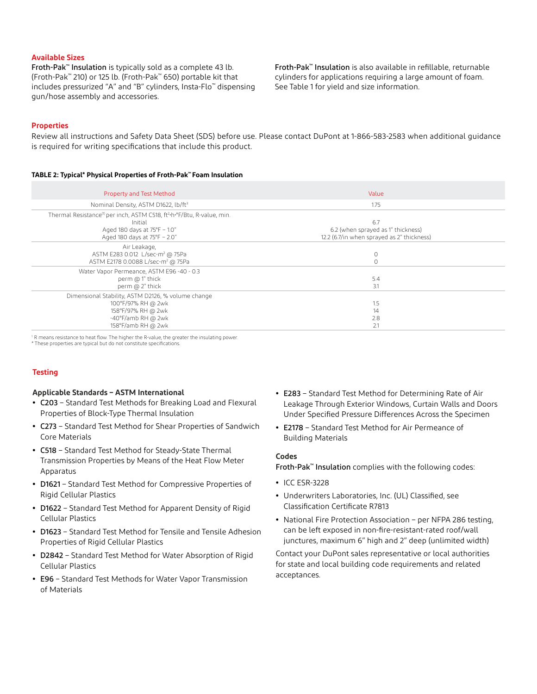### **Available Sizes**

Froth-Pak™ Insulation is typically sold as a complete 43 lb. (Froth-Pak™ 210) or 125 lb. (Froth-Pak™ 650) portable kit that includes pressurized "A" and "B" cylinders, Insta-Flo™ dispensing gun/hose assembly and accessories.

Froth-Pak™ Insulation is also available in refillable, returnable cylinders for applications requiring a large amount of foam. See Table 1 for yield and size information.

### **Properties**

Review all instructions and Safety Data Sheet (SDS) before use. Please contact DuPont at 1-866-583-2583 when additional guidance is required for writing specifications that include this product.

#### **TABLE 2: Typical\* Physical Properties of Froth-Pak™ Foam Insulation**

| <b>Property and Test Method</b>                                                                                                                                            | Value                                                                                   |
|----------------------------------------------------------------------------------------------------------------------------------------------------------------------------|-----------------------------------------------------------------------------------------|
| Nominal Density, ASTM D1622, lb/ft <sup>3</sup>                                                                                                                            | 1.75                                                                                    |
| Thermal Resistance <sup>(1)</sup> per inch, ASTM C518, ft <sup>2</sup> -h-°F/Btu, R-value, min.<br>Initial<br>Aged 180 days at 75°F - 1.0"<br>Aged 180 days at 75°F - 2.0" | 6.7<br>6.2 (when sprayed as 1" thickness)<br>12.2 (6.7/in when sprayed as 2" thickness) |
| Air Leakage,<br>ASTM E283 0.012 L/sec-m <sup>2</sup> @ 75Pa<br>ASTM E2178 0.0088 L/sec-m <sup>2</sup> @ 75Pa                                                               | 0<br>$\circ$                                                                            |
| Water Vapor Permeance, ASTM E96 -40 - 0.3<br>perm @ 1" thick<br>perm @ 2" thick                                                                                            | 5.4<br>3.1                                                                              |
| Dimensional Stability, ASTM D2126, % volume change<br>100°F/97% RH @ 2wk<br>158°F/97% RH @ 2wk<br>-40°F/amb RH @ 2wk<br>158°F/amb RH @ 2wk                                 | 1.5<br>14<br>2.8<br>2.1                                                                 |

<sup>1</sup> R means resistance to heat flow. The higher the R-value, the greater the insulating power.

\* These properties are typical but do not constitute specifications.

## **Testing**

#### **Applicable Standards – ASTM International**

- **•** C203 Standard Test Methods for Breaking Load and Flexural Properties of Block-Type Thermal Insulation
- **•** C273 Standard Test Method for Shear Properties of Sandwich Core Materials
- **•** C518 Standard Test Method for Steady-State Thermal Transmission Properties by Means of the Heat Flow Meter Apparatus
- **•** D1621 Standard Test Method for Compressive Properties of Rigid Cellular Plastics
- **•** D1622 Standard Test Method for Apparent Density of Rigid Cellular Plastics
- **•** D1623 Standard Test Method for Tensile and Tensile Adhesion Properties of Rigid Cellular Plastics
- **•** D2842 Standard Test Method for Water Absorption of Rigid Cellular Plastics
- **•** E96 Standard Test Methods for Water Vapor Transmission of Materials
- **•** E283 Standard Test Method for Determining Rate of Air Leakage Through Exterior Windows, Curtain Walls and Doors Under Specified Pressure Differences Across the Specimen
- **•** E2178 Standard Test Method for Air Permeance of Building Materials

### **Codes**

Froth-Pak™ Insulation complies with the following codes:

- **•** ICC ESR-3228
- **•** Underwriters Laboratories, Inc. (UL) Classified, see Classification Certificate R7813
- **•** National Fire Protection Association per NFPA 286 testing, can be left exposed in non-fire-resistant-rated roof/wall junctures, maximum 6" high and 2" deep (unlimited width)

Contact your DuPont sales representative or local authorities for state and local building code requirements and related acceptances.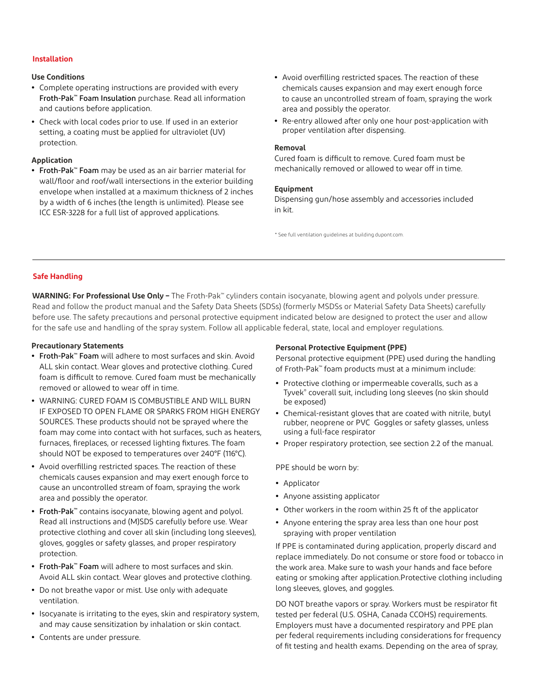## **Installation**

## **Use Conditions**

- **•** Complete operating instructions are provided with every Froth-Pak™ Foam Insulation purchase. Read all information and cautions before application.
- **•** Check with local codes prior to use. If used in an exterior setting, a coating must be applied for ultraviolet (UV) protection.

### **Application**

- **•** Froth-Pak™ Foam may be used as an air barrier material for wall/floor and roof/wall intersections in the exterior building envelope when installed at a maximum thickness of 2 inches by a width of 6 inches (the length is unlimited). Please see ICC ESR-3228 for a full list of approved applications.
- **•** Avoid overfilling restricted spaces. The reaction of these chemicals causes expansion and may exert enough force to cause an uncontrolled stream of foam, spraying the work area and possibly the operator.
- **•** Re-entry allowed after only one hour post-application with proper ventilation after dispensing.

#### **Removal**

Cured foam is difficult to remove. Cured foam must be mechanically removed or allowed to wear off in time.

#### **Equipment**

Dispensing gun/hose assembly and accessories included in kit.

\* See full ventilation guidelines at [building.dupont.com.](http://building.dupont.com)

#### **Safe Handling**

**WARNING: For Professional Use Only –** The Froth-Pak™ cylinders contain isocyanate, blowing agent and polyols under pressure. Read and follow the product manual and the Safety Data Sheets (SDSs) (formerly MSDSs or Material Safety Data Sheets) carefully before use. The safety precautions and personal protective equipment indicated below are designed to protect the user and allow for the safe use and handling of the spray system. Follow all applicable federal, state, local and employer regulations.

#### **Precautionary Statements**

- **•** Froth-Pak™ Foam will adhere to most surfaces and skin. Avoid ALL skin contact. Wear gloves and protective clothing. Cured foam is difficult to remove. Cured foam must be mechanically removed or allowed to wear off in time.
- **•** WARNING: CURED FOAM IS COMBUSTIBLE AND WILL BURN IF EXPOSED TO OPEN FLAME OR SPARKS FROM HIGH ENERGY SOURCES. These products should not be sprayed where the foam may come into contact with hot surfaces, such as heaters, furnaces, fireplaces, or recessed lighting fixtures. The foam should NOT be exposed to temperatures over 240°F (116°C).
- **•** Avoid overfilling restricted spaces. The reaction of these chemicals causes expansion and may exert enough force to cause an uncontrolled stream of foam, spraying the work area and possibly the operator.
- **•** Froth-Pak™ contains isocyanate, blowing agent and polyol. Read all instructions and (M)SDS carefully before use. Wear protective clothing and cover all skin (including long sleeves), gloves, goggles or safety glasses, and proper respiratory protection.
- **•** Froth-Pak™ Foam will adhere to most surfaces and skin. Avoid ALL skin contact. Wear gloves and protective clothing.
- **•** Do not breathe vapor or mist. Use only with adequate ventilation.
- **•** Isocyanate is irritating to the eyes, skin and respiratory system, and may cause sensitization by inhalation or skin contact.
- **•** Contents are under pressure.

## **Personal Protective Equipment (PPE)**

Personal protective equipment (PPE) used during the handling of Froth-Pak™ foam products must at a minimum include:

- **•** Protective clothing or impermeable coveralls, such as a Tyvek® coverall suit, including long sleeves (no skin should be exposed)
- **•** Chemical-resistant gloves that are coated with nitrile, butyl rubber, neoprene or PVC Goggles or safety glasses, unless using a full-face respirator
- **•** Proper respiratory protection, see section 2.2 of the manual.

PPE should be worn by:

- **•** Applicator
- **•** Anyone assisting applicator
- **•** Other workers in the room within 25 ft of the applicator
- **•** Anyone entering the spray area less than one hour post spraying with proper ventilation

If PPE is contaminated during application, properly discard and replace immediately. Do not consume or store food or tobacco in the work area. Make sure to wash your hands and face before eating or smoking after application.Protective clothing including long sleeves, gloves, and goggles.

DO NOT breathe vapors or spray. Workers must be respirator fit tested per federal (U.S. OSHA, Canada CCOHS) requirements. Employers must have a documented respiratory and PPE plan per federal requirements including considerations for frequency of fit testing and health exams. Depending on the area of spray,